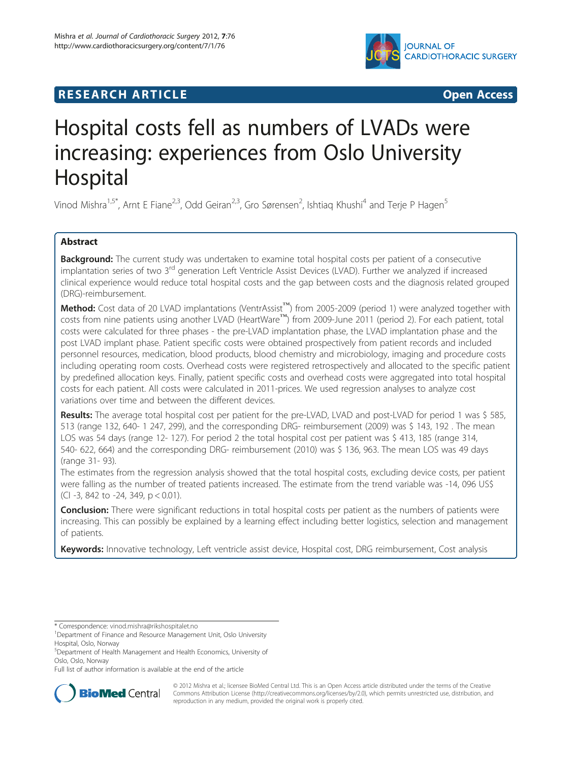

# **RESEARCH ARTICLE Example 2008 CONSIDERING CONSIDERING CONSIDERING CONSIDERING CONSIDERING CONSIDERING CONSIDERING CONSIDERING CONSIDERING CONSIDERING CONSIDERING CONSIDERING CONSIDERING CONSIDERING CONSIDERING CONSIDE**

# Hospital costs fell as numbers of LVADs were increasing: experiences from Oslo University Hospital

Vinod Mishra<sup>1,5\*</sup>, Arnt E Fiane<sup>2,3</sup>, Odd Geiran<sup>2,3</sup>, Gro Sørensen<sup>2</sup>, Ishtiaq Khushi<sup>4</sup> and Terje P Hagen<sup>5</sup>

# Abstract

Background: The current study was undertaken to examine total hospital costs per patient of a consecutive implantation series of two 3<sup>rd</sup> generation Left Ventricle Assist Devices (LVAD). Further we analyzed if increased clinical experience would reduce total hospital costs and the gap between costs and the diagnosis related grouped (DRG)-reimbursement.

Method: Cost data of 20 LVAD implantations (VentrAssist™) from 2005-2009 (period 1) were analyzed together with costs from nine patients using another LVAD (HeartWare™) from 2009-June 2011 (period 2). For each patient, total costs were calculated for three phases - the pre-LVAD implantation phase, the LVAD implantation phase and the post LVAD implant phase. Patient specific costs were obtained prospectively from patient records and included personnel resources, medication, blood products, blood chemistry and microbiology, imaging and procedure costs including operating room costs. Overhead costs were registered retrospectively and allocated to the specific patient by predefined allocation keys. Finally, patient specific costs and overhead costs were aggregated into total hospital costs for each patient. All costs were calculated in 2011-prices. We used regression analyses to analyze cost variations over time and between the different devices.

Results: The average total hospital cost per patient for the pre-LVAD, LVAD and post-LVAD for period 1 was \$ 585, 513 (range 132, 640- 1 247, 299), and the corresponding DRG- reimbursement (2009) was \$ 143, 192 . The mean LOS was 54 days (range 12- 127). For period 2 the total hospital cost per patient was \$ 413, 185 (range 314, 540- 622, 664) and the corresponding DRG- reimbursement (2010) was \$ 136, 963. The mean LOS was 49 days (range 31- 93).

The estimates from the regression analysis showed that the total hospital costs, excluding device costs, per patient were falling as the number of treated patients increased. The estimate from the trend variable was -14, 096 US\$ (CI -3, 842 to -24, 349, p < 0.01).

**Conclusion:** There were significant reductions in total hospital costs per patient as the numbers of patients were increasing. This can possibly be explained by a learning effect including better logistics, selection and management of patients.

Keywords: Innovative technology, Left ventricle assist device, Hospital cost, DRG reimbursement, Cost analysis

Full list of author information is available at the end of the article



© 2012 Mishra et al.; licensee BioMed Central Ltd. This is an Open Access article distributed under the terms of the Creative Commons Attribution License [\(http://creativecommons.org/licenses/by/2.0\)](http://creativecommons.org/licenses/by/2.0), which permits unrestricted use, distribution, and reproduction in any medium, provided the original work is properly cited.

<sup>\*</sup> Correspondence: [vinod.mishra@rikshospitalet.no](mailto:vinod.mishra@rikshospitalet.no) <sup>1</sup>

<sup>&</sup>lt;sup>1</sup>Department of Finance and Resource Management Unit, Oslo University Hospital, Oslo, Norway

<sup>5</sup> Department of Health Management and Health Economics, University of Oslo, Oslo, Norway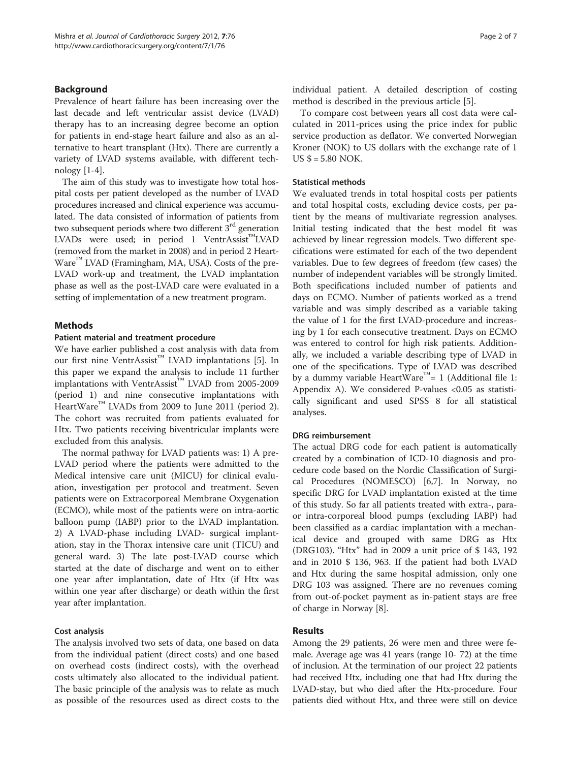# **Background**

Prevalence of heart failure has been increasing over the last decade and left ventricular assist device (LVAD) therapy has to an increasing degree become an option for patients in end-stage heart failure and also as an alternative to heart transplant (Htx). There are currently a variety of LVAD systems available, with different technology [\[1](#page-6-0)-[4\]](#page-6-0).

The aim of this study was to investigate how total hospital costs per patient developed as the number of LVAD procedures increased and clinical experience was accumulated. The data consisted of information of patients from two subsequent periods where two different  $3<sup>rd</sup>$  generation LVADs were used; in period 1 VentrAssist™LVAD (removed from the market in 2008) and in period 2 Heart-Ware<sup>™</sup> LVAD (Framingham, MA, USA). Costs of the pre-LVAD work-up and treatment, the LVAD implantation phase as well as the post-LVAD care were evaluated in a setting of implementation of a new treatment program.

### Methods

#### Patient material and treatment procedure

We have earlier published a cost analysis with data from our first nine VentrAssist™ LVAD implantations [[5](#page-6-0)]. In this paper we expand the analysis to include 11 further implantations with VentrAssist™ LVAD from 2005-2009 (period 1) and nine consecutive implantations with HeartWare™ LVADs from 2009 to June 2011 (period 2). The cohort was recruited from patients evaluated for Htx. Two patients receiving biventricular implants were excluded from this analysis.

The normal pathway for LVAD patients was: 1) A pre-LVAD period where the patients were admitted to the Medical intensive care unit (MICU) for clinical evaluation, investigation per protocol and treatment. Seven patients were on Extracorporeal Membrane Oxygenation (ECMO), while most of the patients were on intra-aortic balloon pump (IABP) prior to the LVAD implantation. 2) A LVAD-phase including LVAD- surgical implantation, stay in the Thorax intensive care unit (TICU) and general ward. 3) The late post-LVAD course which started at the date of discharge and went on to either one year after implantation, date of Htx (if Htx was within one year after discharge) or death within the first year after implantation.

### Cost analysis

The analysis involved two sets of data, one based on data from the individual patient (direct costs) and one based on overhead costs (indirect costs), with the overhead costs ultimately also allocated to the individual patient. The basic principle of the analysis was to relate as much as possible of the resources used as direct costs to the individual patient. A detailed description of costing method is described in the previous article [[5\]](#page-6-0).

To compare cost between years all cost data were calculated in 2011-prices using the price index for public service production as deflator. We converted Norwegian Kroner (NOK) to US dollars with the exchange rate of 1 US  $$ = 5.80$  NOK.

#### Statistical methods

We evaluated trends in total hospital costs per patients and total hospital costs, excluding device costs, per patient by the means of multivariate regression analyses. Initial testing indicated that the best model fit was achieved by linear regression models. Two different specifications were estimated for each of the two dependent variables. Due to few degrees of freedom (few cases) the number of independent variables will be strongly limited. Both specifications included number of patients and days on ECMO. Number of patients worked as a trend variable and was simply described as a variable taking the value of 1 for the first LVAD-procedure and increasing by 1 for each consecutive treatment. Days on ECMO was entered to control for high risk patients. Additionally, we included a variable describing type of LVAD in one of the specifications. Type of LVAD was described by a dummy variable HeartWare<sup>™</sup> = [1](#page-5-0) (Additional file 1: Appendix A). We considered P-values <0.05 as statistically significant and used SPSS 8 for all statistical analyses.

## DRG reimbursement

The actual DRG code for each patient is automatically created by a combination of ICD-10 diagnosis and procedure code based on the Nordic Classification of Surgical Procedures (NOMESCO) [\[6,7](#page-6-0)]. In Norway, no specific DRG for LVAD implantation existed at the time of this study. So far all patients treated with extra-, paraor intra-corporeal blood pumps (excluding IABP) had been classified as a cardiac implantation with a mechanical device and grouped with same DRG as Htx (DRG103). "Htx" had in 2009 a unit price of \$ 143, 192 and in 2010 \$ 136, 963. If the patient had both LVAD and Htx during the same hospital admission, only one DRG 103 was assigned. There are no revenues coming from out-of-pocket payment as in-patient stays are free of charge in Norway [\[8](#page-6-0)].

# Results

Among the 29 patients, 26 were men and three were female. Average age was 41 years (range 10- 72) at the time of inclusion. At the termination of our project 22 patients had received Htx, including one that had Htx during the LVAD-stay, but who died after the Htx-procedure. Four patients died without Htx, and three were still on device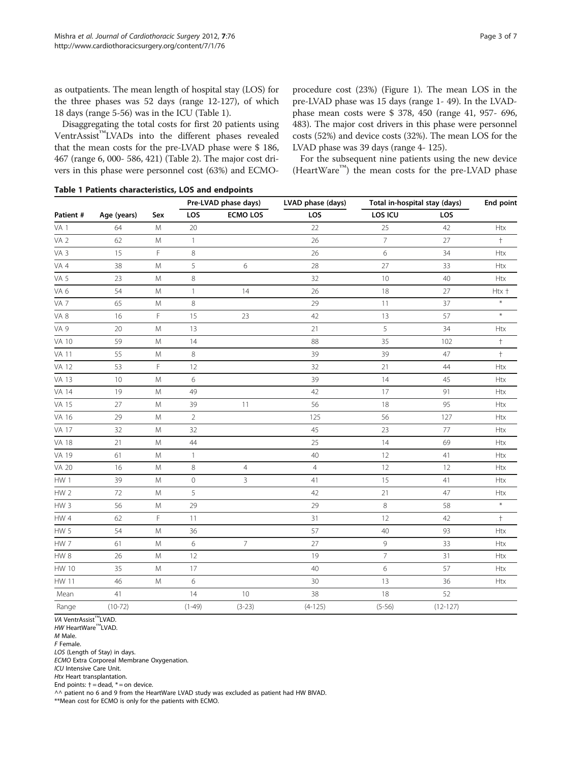as outpatients. The mean length of hospital stay (LOS) for the three phases was 52 days (range 12-127), of which 18 days (range 5-56) was in the ICU (Table 1).

Disaggregating the total costs for first 20 patients using VentrAssist™LVADs into the different phases revealed that the mean costs for the pre-LVAD phase were \$ 186, 467 (range 6, 000- 586, 421) (Table [2](#page-3-0)). The major cost drivers in this phase were personnel cost (63%) and ECMO-

procedure cost (23%) (Figure [1\)](#page-4-0). The mean LOS in the pre-LVAD phase was 15 days (range 1- 49). In the LVADphase mean costs were \$ 378, 450 (range 41, 957- 696, 483). The major cost drivers in this phase were personnel costs (52%) and device costs (32%). The mean LOS for the LVAD phase was 39 days (range 4- 125).

For the subsequent nine patients using the new device (HeartWare™) the mean costs for the pre-LVAD phase

|  |  |  | Table 1 Patients characteristics, LOS and endpoints |  |  |  |  |
|--|--|--|-----------------------------------------------------|--|--|--|--|
|--|--|--|-----------------------------------------------------|--|--|--|--|

| Patient #       |             |           | Pre-LVAD phase days) |                 | LVAD phase (days) | Total in-hospital stay (days) | <b>End point</b> |               |
|-----------------|-------------|-----------|----------------------|-----------------|-------------------|-------------------------------|------------------|---------------|
|                 | Age (years) | Sex       | LOS                  | <b>ECMO LOS</b> | LOS               | LOS ICU                       | LOS              |               |
| VA <sub>1</sub> | 64          | M         | 20                   |                 | 22                | 25                            | 42               | <b>Htx</b>    |
| VA <sub>2</sub> | 62          | M         | $\mathbf{1}$         |                 | 26                | $\overline{7}$                | 27               | $\ddagger$    |
| VA 3            | 15          | F.        | $\,8\,$              |                 | 26                | 6                             | 34               | <b>Htx</b>    |
| VA 4            | 38          | M         | 5                    | 6               | 28                | 27                            | 33               | Htx           |
| VA 5            | 23          | M         | $\,8\,$              |                 | 32                | 10                            | 40               | <b>Htx</b>    |
| VA 6            | 54          | M         | $\mathbf{1}$         | 14              | 26                | 18                            | 27               | Htx +         |
| VA <sub>7</sub> | 65          | M         | $\,8\,$              |                 | 29                | 11                            | 37               | $\ast$        |
| VA 8            | 16          | F         | 15                   | 23              | 42                | 13                            | 57               | $\star$       |
| VA 9            | 20          | ${\sf M}$ | 13                   |                 | 21                | 5                             | 34               | <b>Htx</b>    |
| <b>VA 10</b>    | 59          | ${\sf M}$ | 14                   |                 | 88                | 35                            | 102              | $^\mathrm{+}$ |
| <b>VA 11</b>    | 55          | ${\sf M}$ | $\,8\,$              |                 | 39                | 39                            | 47               | $^\mathrm{+}$ |
| <b>VA 12</b>    | 53          | F         | $12\,$               |                 | 32                | 21                            | 44               | Htx           |
| <b>VA 13</b>    | 10          | ${\sf M}$ | 6                    |                 | 39                | 14                            | 45               | Htx           |
| <b>VA 14</b>    | 19          | M         | 49                   |                 | 42                | 17                            | 91               | Htx           |
| <b>VA 15</b>    | 27          | M         | 39                   | 11              | 56                | 18                            | 95               | <b>Htx</b>    |
| VA 16           | 29          | ${\sf M}$ | $\sqrt{2}$           |                 | 125               | 56                            | 127              | <b>Htx</b>    |
| <b>VA 17</b>    | 32          | M         | 32                   |                 | 45                | 23                            | 77               | Htx           |
| <b>VA 18</b>    | 21          | M         | $44\,$               |                 | 25                | 14                            | 69               | Htx           |
| VA 19           | 61          | M         | $\mathbf{1}$         |                 | 40                | 12                            | 41               | <b>Htx</b>    |
| <b>VA 20</b>    | 16          | М         | 8                    | $\overline{4}$  | $\overline{4}$    | 12                            | 12               | <b>Htx</b>    |
| HW 1            | 39          | M         | $\mathbf 0$          | 3               | 41                | 15                            | 41               | Htx           |
| HW <sub>2</sub> | 72          | M         | 5                    |                 | 42                | 21                            | 47               | Htx           |
| HW <sub>3</sub> | 56          | M         | 29                   |                 | 29                | $\,8\,$                       | 58               | $\ast$        |
| HW 4            | 62          | F         | 11                   |                 | 31                | 12                            | 42               | $^\mathrm{+}$ |
| HW <sub>5</sub> | 54          | M         | 36                   |                 | 57                | 40                            | 93               | Htx           |
| HW 7            | 61          | M         | 6                    | $\overline{7}$  | 27                | 9                             | 33               | Htx           |
| ${\sf HW}$ 8    | 26          | ${\sf M}$ | 12                   |                 | 19                | $\overline{7}$                | 31               | Htx           |
| <b>HW 10</b>    | 35          | ${\sf M}$ | $17\,$               |                 | 40                | 6                             | 57               | <b>Htx</b>    |
| <b>HW 11</b>    | 46          | ${\sf M}$ | 6                    |                 | 30                | 13                            | 36               | Htx           |
| Mean            | 41          |           | 14                   | 10              | 38                | 18                            | 52               |               |
| Range           | $(10-72)$   |           | $(1-49)$             | $(3-23)$        | $(4 - 125)$       | $(5 - 56)$                    | $(12 - 127)$     |               |

VA VentrAssist™LVAD.

HW HeartWare<sup>™</sup>LVAD.

M Male.

F Female.

LOS (Length of Stay) in days.

ECMO Extra Corporeal Membrane Oxygenation.

ICU Intensive Care Unit.

Htx Heart transplantation.

End points:  $\dagger$  = dead,  $*$  = on device.

 $\land\land$  patient no 6 and 9 from the HeartWare LVAD study was excluded as patient had HW BIVAD.

\*\*Mean cost for ECMO is only for the patients with ECMO.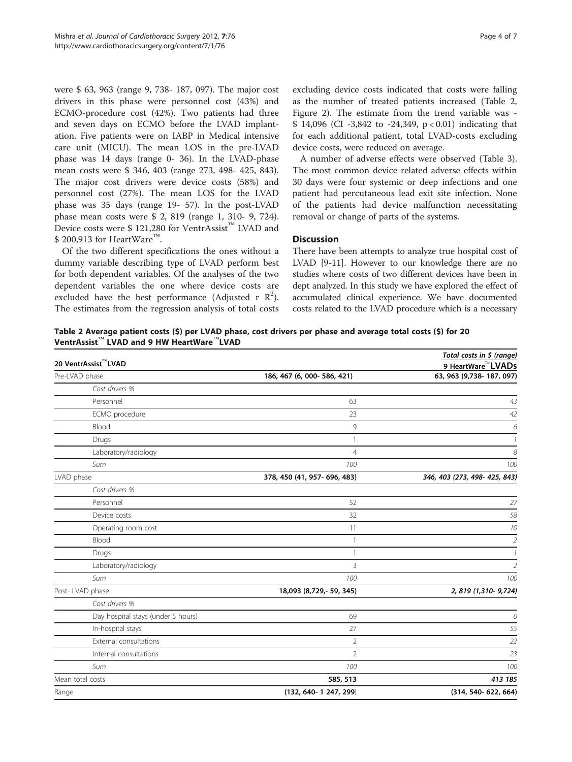<span id="page-3-0"></span>were \$ 63, 963 (range 9, 738- 187, 097). The major cost drivers in this phase were personnel cost (43%) and ECMO-procedure cost (42%). Two patients had three and seven days on ECMO before the LVAD implantation. Five patients were on IABP in Medical intensive care unit (MICU). The mean LOS in the pre-LVAD phase was 14 days (range 0- 36). In the LVAD-phase mean costs were \$ 346, 403 (range 273, 498- 425, 843). The major cost drivers were device costs (58%) and personnel cost (27%). The mean LOS for the LVAD phase was 35 days (range 19- 57). In the post-LVAD phase mean costs were \$ 2, 819 (range 1, 310- 9, 724). Device costs were \$ 121,280 for VentrAssist™ LVAD and \$ 200.913 for HeartWare<sup>™</sup>.

Of the two different specifications the ones without a dummy variable describing type of LVAD perform best for both dependent variables. Of the analyses of the two dependent variables the one where device costs are excluded have the best performance (Adjusted r  $\mathbb{R}^2$ ). The estimates from the regression analysis of total costs excluding device costs indicated that costs were falling as the number of treated patients increased (Table 2, Figure [2](#page-4-0)). The estimate from the trend variable was - \$ 14,096 (CI -3,842 to -24,349, p < 0.01) indicating that for each additional patient, total LVAD-costs excluding device costs, were reduced on average.

A number of adverse effects were observed (Table [3](#page-5-0)). The most common device related adverse effects within 30 days were four systemic or deep infections and one patient had percutaneous lead exit site infection. None of the patients had device malfunction necessitating removal or change of parts of the systems.

# **Discussion**

There have been attempts to analyze true hospital cost of LVAD [\[9](#page-6-0)-[11](#page-6-0)]. However to our knowledge there are no studies where costs of two different devices have been in dept analyzed. In this study we have explored the effect of accumulated clinical experience. We have documented costs related to the LVAD procedure which is a necessary

Table 2 Average patient costs (\$) per LVAD phase, cost drivers per phase and average total costs (\$) for 20 VentrAssist™ LVAD and 9 HW HeartWare™LVAD

| 20 VentrAssist™LVAD                |                              | Total costs in \$ (range)<br>9 HeartWare <sup>™</sup> LVADs |  |  |
|------------------------------------|------------------------------|-------------------------------------------------------------|--|--|
| Pre-LVAD phase                     | 186, 467 (6, 000-586, 421)   | 63, 963 (9,738-187, 097)                                    |  |  |
| Cost drivers %                     |                              |                                                             |  |  |
| Personnel                          | 63                           | 43                                                          |  |  |
| ECMO procedure                     | 23                           | 42                                                          |  |  |
| Blood                              | 9                            | 6                                                           |  |  |
| Drugs                              | $\mathbf{1}$                 | $\overline{1}$                                              |  |  |
| Laboratory/radiology               | $\overline{4}$               | 8                                                           |  |  |
| Sum                                | 100                          | 100                                                         |  |  |
| LVAD phase                         | 378, 450 (41, 957- 696, 483) | 346, 403 (273, 498- 425, 843)                               |  |  |
| Cost drivers %                     |                              |                                                             |  |  |
| Personnel                          | 52                           | 27                                                          |  |  |
| Device costs                       | 32                           | 58                                                          |  |  |
| Operating room cost                | 11                           | 10                                                          |  |  |
| Blood                              | $\mathbf{1}$                 | $\overline{2}$                                              |  |  |
| Drugs                              | $\mathbf{1}$                 | $\overline{\phantom{a}}$                                    |  |  |
| Laboratory/radiology               | $\overline{3}$               | $\overline{2}$                                              |  |  |
| Sum                                | 100                          | 100                                                         |  |  |
| Post-LVAD phase                    | 18,093 (8,729,- 59, 345)     | 2, 819 (1,310-9,724)                                        |  |  |
| Cost drivers %                     |                              |                                                             |  |  |
| Day hospital stays (under 5 hours) | 69                           | 0                                                           |  |  |
| In-hospital stays                  | 27                           | 55                                                          |  |  |
| External consultations             | $\overline{2}$               | 22                                                          |  |  |
| Internal consultations             | $\overline{2}$               | 23                                                          |  |  |
| Sum                                | 100                          | 100                                                         |  |  |
| Mean total costs                   | 585, 513                     | 413 185                                                     |  |  |
| Range                              | $(132, 640 - 1247, 299)$     | $(314, 540 - 622, 664)$                                     |  |  |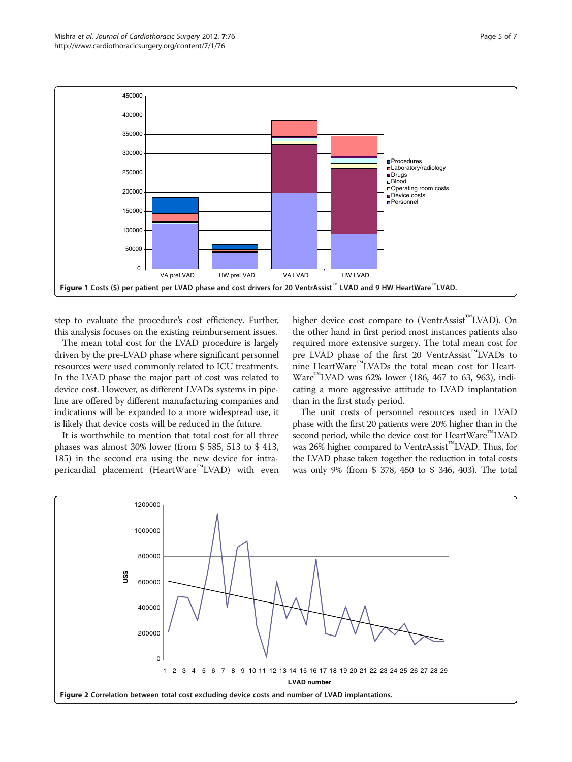<span id="page-4-0"></span>

step to evaluate the procedure's cost efficiency. Further, this analysis focuses on the existing reimbursement issues.

The mean total cost for the LVAD procedure is largely driven by the pre-LVAD phase where significant personnel resources were used commonly related to ICU treatments. In the LVAD phase the major part of cost was related to device cost. However, as different LVADs systems in pipeline are offered by different manufacturing companies and indications will be expanded to a more widespread use, it is likely that device costs will be reduced in the future.

It is worthwhile to mention that total cost for all three phases was almost 30% lower (from \$ 585, 513 to \$ 413, 185) in the second era using the new device for intrapericardial placement (HeartWare<sup>™</sup>LVAD) with even higher device cost compare to (VentrAssist™LVAD). On the other hand in first period most instances patients also required more extensive surgery. The total mean cost for pre LVAD phase of the first 20 VentrAssist™LVADs to nine HeartWare™LVADs the total mean cost for Heart-Ware<sup>™</sup>LVAD was 62% lower (186, 467 to 63, 963), indicating a more aggressive attitude to LVAD implantation than in the first study period.

The unit costs of personnel resources used in LVAD phase with the first 20 patients were 20% higher than in the second period, while the device cost for HeartWare™LVAD was 26% higher compared to VentrAssist™LVAD. Thus, for the LVAD phase taken together the reduction in total costs was only 9% (from \$ 378, 450 to \$ 346, 403). The total

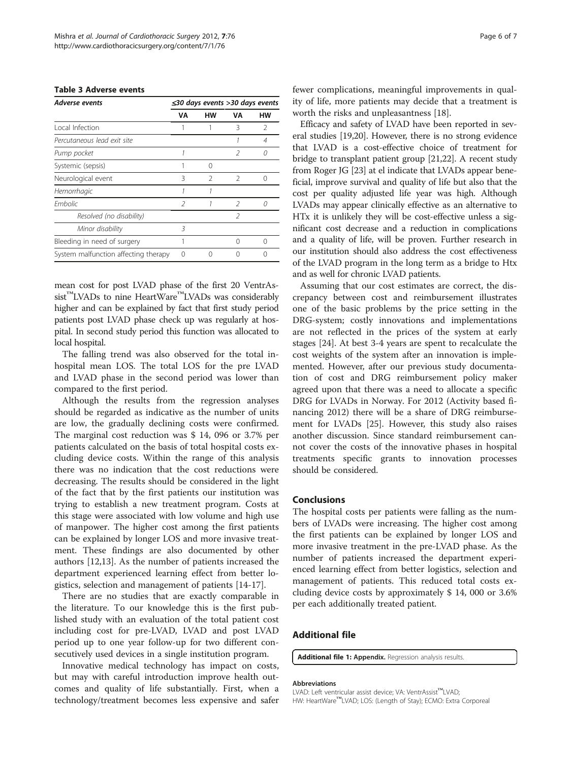<span id="page-5-0"></span>

| Adverse events                       | $\leq$ 30 days events >30 days events |               |               |               |  |  |
|--------------------------------------|---------------------------------------|---------------|---------------|---------------|--|--|
|                                      | V٨                                    | нw            | V٨            | нw            |  |  |
| Local Infection                      |                                       |               | 3             | $\mathcal{P}$ |  |  |
| Percutaneous lead exit site          |                                       |               |               | 4             |  |  |
| Pump pocket                          |                                       |               | 2             | O             |  |  |
| Systemic (sepsis)                    |                                       | Ω             |               |               |  |  |
| Neurological event                   | Β                                     | $\mathcal{P}$ | $\mathcal{P}$ | Ω             |  |  |
| Hemorrhagic                          |                                       | 1             |               |               |  |  |
| <b>Fmbolic</b>                       | 2                                     | 1             | $\mathcal{P}$ | 0             |  |  |
| Resolved (no disability)             |                                       |               | $\mathcal{P}$ |               |  |  |
| Minor disability                     | 3                                     |               |               |               |  |  |
| Bleeding in need of surgery          |                                       |               |               |               |  |  |
| System malfunction affecting therapy | ∩                                     | ∩             |               |               |  |  |
|                                      |                                       |               |               |               |  |  |

mean cost for post LVAD phase of the first 20 VentrAssist<sup>™</sup>LVADs to nine HeartWare<sup>™</sup>LVADs was considerably higher and can be explained by fact that first study period patients post LVAD phase check up was regularly at hospital. In second study period this function was allocated to local hospital.

The falling trend was also observed for the total inhospital mean LOS. The total LOS for the pre LVAD and LVAD phase in the second period was lower than compared to the first period.

Although the results from the regression analyses should be regarded as indicative as the number of units are low, the gradually declining costs were confirmed. The marginal cost reduction was \$ 14, 096 or 3.7% per patients calculated on the basis of total hospital costs excluding device costs. Within the range of this analysis there was no indication that the cost reductions were decreasing. The results should be considered in the light of the fact that by the first patients our institution was trying to establish a new treatment program. Costs at this stage were associated with low volume and high use of manpower. The higher cost among the first patients can be explained by longer LOS and more invasive treatment. These findings are also documented by other authors [[12,13\]](#page-6-0). As the number of patients increased the department experienced learning effect from better logistics, selection and management of patients [[14](#page-6-0)-[17\]](#page-6-0).

There are no studies that are exactly comparable in the literature. To our knowledge this is the first published study with an evaluation of the total patient cost including cost for pre-LVAD, LVAD and post LVAD period up to one year follow-up for two different consecutively used devices in a single institution program.

Innovative medical technology has impact on costs, but may with careful introduction improve health outcomes and quality of life substantially. First, when a technology/treatment becomes less expensive and safer fewer complications, meaningful improvements in quality of life, more patients may decide that a treatment is worth the risks and unpleasantness [[18\]](#page-6-0).

Efficacy and safety of LVAD have been reported in several studies [\[19,20](#page-6-0)]. However, there is no strong evidence that LVAD is a cost-effective choice of treatment for bridge to transplant patient group [[21](#page-6-0),[22](#page-6-0)]. A recent study from Roger JG [[23](#page-6-0)] at el indicate that LVADs appear beneficial, improve survival and quality of life but also that the cost per quality adjusted life year was high. Although LVADs may appear clinically effective as an alternative to HTx it is unlikely they will be cost-effective unless a significant cost decrease and a reduction in complications and a quality of life, will be proven. Further research in our institution should also address the cost effectiveness of the LVAD program in the long term as a bridge to Htx and as well for chronic LVAD patients.

Assuming that our cost estimates are correct, the discrepancy between cost and reimbursement illustrates one of the basic problems by the price setting in the DRG-system; costly innovations and implementations are not reflected in the prices of the system at early stages [\[24](#page-6-0)]. At best 3-4 years are spent to recalculate the cost weights of the system after an innovation is implemented. However, after our previous study documentation of cost and DRG reimbursement policy maker agreed upon that there was a need to allocate a specific DRG for LVADs in Norway. For 2012 (Activity based financing 2012) there will be a share of DRG reimbursement for LVADs [[25\]](#page-6-0). However, this study also raises another discussion. Since standard reimbursement cannot cover the costs of the innovative phases in hospital treatments specific grants to innovation processes should be considered.

### Conclusions

The hospital costs per patients were falling as the numbers of LVADs were increasing. The higher cost among the first patients can be explained by longer LOS and more invasive treatment in the pre-LVAD phase. As the number of patients increased the department experienced learning effect from better logistics, selection and management of patients. This reduced total costs excluding device costs by approximately \$ 14, 000 or 3.6% per each additionally treated patient.

# Additional file

[Additional file 1:](http://www.biomedcentral.com/content/supplementary/1749-8090-7-76-S1.doc) Appendix. Regression analysis results.

#### Abbreviations

LVAD: Left ventricular assist device; VA: VentrAssist™LVAD; HW: HeartWare™LVAD; LOS: (Length of Stay); ECMO: Extra Corporeal